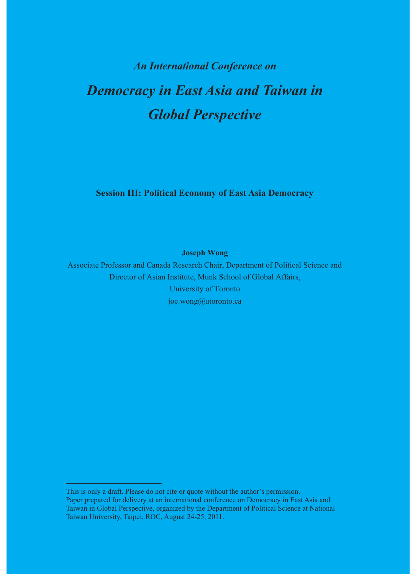# *An International Conference on Democracy in East Asia and Taiwan in Global Perspective*

**Session III: Political Economy of East Asia Democracy** 

**Joseph Wong** 

Associate Professor and Canada Research Chair, Department of Political Science and Director of Asian Institute, Munk School of Global Affairs, University of Toronto joe.wong@utoronto.ca

This is only a draft. Please do not cite or quote without the author's permission. Paper prepared for delivery at an international conference on Democracy in East Asia and Taiwan in Global Perspective, organized by the Department of Political Science at National Taiwan University, Taipei, ROC, August 24-25, 2011.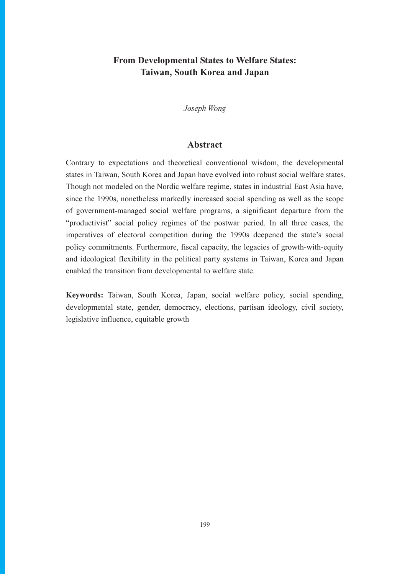# **From Developmental States to Welfare States: Taiwan, South Korea and Japan**

*Joseph Wong* 

## **Abstract**

Contrary to expectations and theoretical conventional wisdom, the developmental states in Taiwan, South Korea and Japan have evolved into robust social welfare states. Though not modeled on the Nordic welfare regime, states in industrial East Asia have, since the 1990s, nonetheless markedly increased social spending as well as the scope of government-managed social welfare programs, a significant departure from the "productivist" social policy regimes of the postwar period. In all three cases, the imperatives of electoral competition during the 1990s deepened the state's social policy commitments. Furthermore, fiscal capacity, the legacies of growth-with-equity and ideological flexibility in the political party systems in Taiwan, Korea and Japan enabled the transition from developmental to welfare state.

**Keywords:** Taiwan, South Korea, Japan, social welfare policy, social spending, developmental state, gender, democracy, elections, partisan ideology, civil society, legislative influence, equitable growth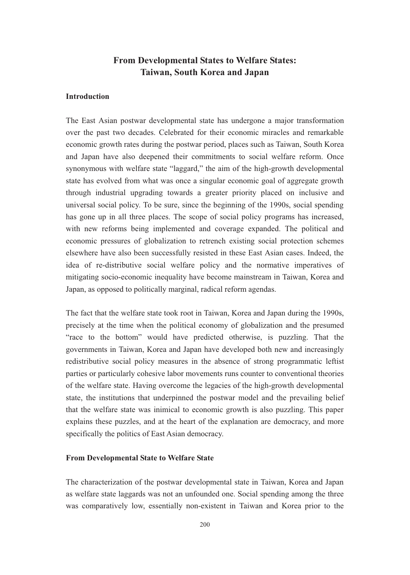# **From Developmental States to Welfare States: Taiwan, South Korea and Japan**

#### **Introduction**

The East Asian postwar developmental state has undergone a major transformation over the past two decades. Celebrated for their economic miracles and remarkable economic growth rates during the postwar period, places such as Taiwan, South Korea and Japan have also deepened their commitments to social welfare reform. Once synonymous with welfare state "laggard," the aim of the high-growth developmental state has evolved from what was once a singular economic goal of aggregate growth through industrial upgrading towards a greater priority placed on inclusive and universal social policy. To be sure, since the beginning of the 1990s, social spending has gone up in all three places. The scope of social policy programs has increased, with new reforms being implemented and coverage expanded. The political and economic pressures of globalization to retrench existing social protection schemes elsewhere have also been successfully resisted in these East Asian cases. Indeed, the idea of re-distributive social welfare policy and the normative imperatives of mitigating socio-economic inequality have become mainstream in Taiwan, Korea and Japan, as opposed to politically marginal, radical reform agendas.

The fact that the welfare state took root in Taiwan, Korea and Japan during the 1990s, precisely at the time when the political economy of globalization and the presumed "race to the bottom" would have predicted otherwise, is puzzling. That the governments in Taiwan, Korea and Japan have developed both new and increasingly redistributive social policy measures in the absence of strong programmatic leftist parties or particularly cohesive labor movements runs counter to conventional theories of the welfare state. Having overcome the legacies of the high-growth developmental state, the institutions that underpinned the postwar model and the prevailing belief that the welfare state was inimical to economic growth is also puzzling. This paper explains these puzzles, and at the heart of the explanation are democracy, and more specifically the politics of East Asian democracy.

#### **From Developmental State to Welfare State**

The characterization of the postwar developmental state in Taiwan, Korea and Japan as welfare state laggards was not an unfounded one. Social spending among the three was comparatively low, essentially non-existent in Taiwan and Korea prior to the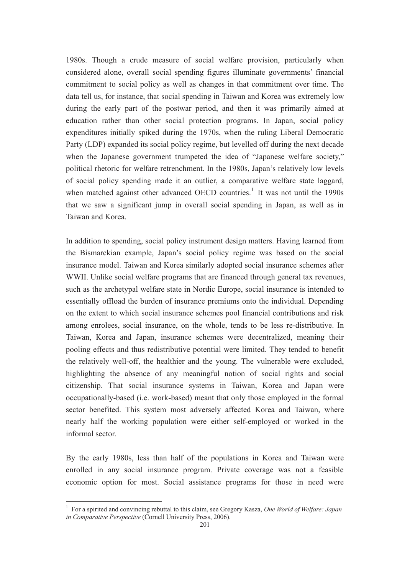1980s. Though a crude measure of social welfare provision, particularly when considered alone, overall social spending figures illuminate governments' financial commitment to social policy as well as changes in that commitment over time. The data tell us, for instance, that social spending in Taiwan and Korea was extremely low during the early part of the postwar period, and then it was primarily aimed at education rather than other social protection programs. In Japan, social policy expenditures initially spiked during the 1970s, when the ruling Liberal Democratic Party (LDP) expanded its social policy regime, but levelled off during the next decade when the Japanese government trumpeted the idea of "Japanese welfare society," political rhetoric for welfare retrenchment. In the 1980s, Japan's relatively low levels of social policy spending made it an outlier, a comparative welfare state laggard, when matched against other advanced OECD countries.<sup>1</sup> It was not until the 1990s that we saw a significant jump in overall social spending in Japan, as well as in Taiwan and Korea.

In addition to spending, social policy instrument design matters. Having learned from the Bismarckian example, Japan's social policy regime was based on the social insurance model. Taiwan and Korea similarly adopted social insurance schemes after WWII. Unlike social welfare programs that are financed through general tax revenues, such as the archetypal welfare state in Nordic Europe, social insurance is intended to essentially offload the burden of insurance premiums onto the individual. Depending on the extent to which social insurance schemes pool financial contributions and risk among enrolees, social insurance, on the whole, tends to be less re-distributive. In Taiwan, Korea and Japan, insurance schemes were decentralized, meaning their pooling effects and thus redistributive potential were limited. They tended to benefit the relatively well-off, the healthier and the young. The vulnerable were excluded, highlighting the absence of any meaningful notion of social rights and social citizenship. That social insurance systems in Taiwan, Korea and Japan were occupationally-based (i.e. work-based) meant that only those employed in the formal sector benefited. This system most adversely affected Korea and Taiwan, where nearly half the working population were either self-employed or worked in the informal sector.

By the early 1980s, less than half of the populations in Korea and Taiwan were enrolled in any social insurance program. Private coverage was not a feasible economic option for most. Social assistance programs for those in need were

<sup>1</sup> For a spirited and convincing rebuttal to this claim, see Gregory Kasza, *One World of Welfare: Japan in Comparative Perspective* (Cornell University Press, 2006).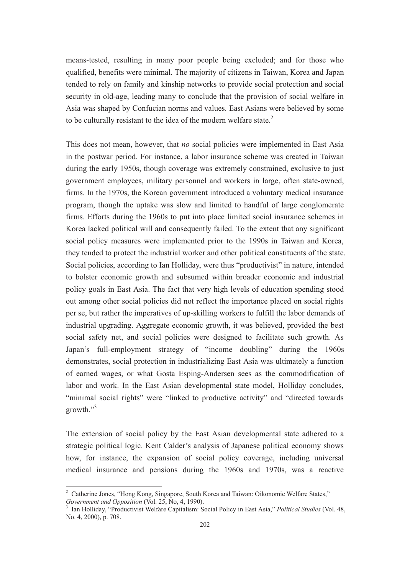means-tested, resulting in many poor people being excluded; and for those who qualified, benefits were minimal. The majority of citizens in Taiwan, Korea and Japan tended to rely on family and kinship networks to provide social protection and social security in old-age, leading many to conclude that the provision of social welfare in Asia was shaped by Confucian norms and values. East Asians were believed by some to be culturally resistant to the idea of the modern welfare state. $2$ 

This does not mean, however, that *no* social policies were implemented in East Asia in the postwar period. For instance, a labor insurance scheme was created in Taiwan during the early 1950s, though coverage was extremely constrained, exclusive to just government employees, military personnel and workers in large, often state-owned, firms. In the 1970s, the Korean government introduced a voluntary medical insurance program, though the uptake was slow and limited to handful of large conglomerate firms. Efforts during the 1960s to put into place limited social insurance schemes in Korea lacked political will and consequently failed. To the extent that any significant social policy measures were implemented prior to the 1990s in Taiwan and Korea, they tended to protect the industrial worker and other political constituents of the state. Social policies, according to Ian Holliday, were thus "productivist" in nature, intended to bolster economic growth and subsumed within broader economic and industrial policy goals in East Asia. The fact that very high levels of education spending stood out among other social policies did not reflect the importance placed on social rights per se, but rather the imperatives of up-skilling workers to fulfill the labor demands of industrial upgrading. Aggregate economic growth, it was believed, provided the best social safety net, and social policies were designed to facilitate such growth. As Japan's full-employment strategy of "income doubling" during the 1960s demonstrates, social protection in industrializing East Asia was ultimately a function of earned wages, or what Gosta Esping-Andersen sees as the commodification of labor and work. In the East Asian developmental state model, Holliday concludes, "minimal social rights" were "linked to productive activity" and "directed towards growth."<sup>3</sup>

The extension of social policy by the East Asian developmental state adhered to a strategic political logic. Kent Calder's analysis of Japanese political economy shows how, for instance, the expansion of social policy coverage, including universal medical insurance and pensions during the 1960s and 1970s, was a reactive

<sup>&</sup>lt;sup>2</sup> Catherine Jones, "Hong Kong, Singapore, South Korea and Taiwan: Oikonomic Welfare States," *Government and Opposition* (Vol. 25, No, 4, 1990).

<sup>3</sup> Ian Holliday, "Productivist Welfare Capitalism: Social Policy in East Asia," *Political Studies* (Vol. 48, No. 4, 2000), p. 708.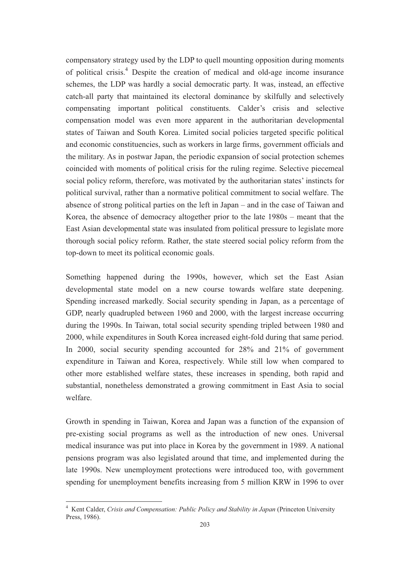compensatory strategy used by the LDP to quell mounting opposition during moments of political crisis.<sup>4</sup> Despite the creation of medical and old-age income insurance schemes, the LDP was hardly a social democratic party. It was, instead, an effective catch-all party that maintained its electoral dominance by skilfully and selectively compensating important political constituents. Calder's crisis and selective compensation model was even more apparent in the authoritarian developmental states of Taiwan and South Korea. Limited social policies targeted specific political and economic constituencies, such as workers in large firms, government officials and the military. As in postwar Japan, the periodic expansion of social protection schemes coincided with moments of political crisis for the ruling regime. Selective piecemeal social policy reform, therefore, was motivated by the authoritarian states' instincts for political survival, rather than a normative political commitment to social welfare. The absence of strong political parties on the left in Japan – and in the case of Taiwan and Korea, the absence of democracy altogether prior to the late 1980s – meant that the East Asian developmental state was insulated from political pressure to legislate more thorough social policy reform. Rather, the state steered social policy reform from the top-down to meet its political economic goals.

Something happened during the 1990s, however, which set the East Asian developmental state model on a new course towards welfare state deepening. Spending increased markedly. Social security spending in Japan, as a percentage of GDP, nearly quadrupled between 1960 and 2000, with the largest increase occurring during the 1990s. In Taiwan, total social security spending tripled between 1980 and 2000, while expenditures in South Korea increased eight-fold during that same period. In 2000, social security spending accounted for 28% and 21% of government expenditure in Taiwan and Korea, respectively. While still low when compared to other more established welfare states, these increases in spending, both rapid and substantial, nonetheless demonstrated a growing commitment in East Asia to social welfare.

Growth in spending in Taiwan, Korea and Japan was a function of the expansion of pre-existing social programs as well as the introduction of new ones. Universal medical insurance was put into place in Korea by the government in 1989. A national pensions program was also legislated around that time, and implemented during the late 1990s. New unemployment protections were introduced too, with government spending for unemployment benefits increasing from 5 million KRW in 1996 to over

<sup>4</sup> Kent Calder, *Crisis and Compensation: Public Policy and Stability in Japan* (Princeton University Press, 1986).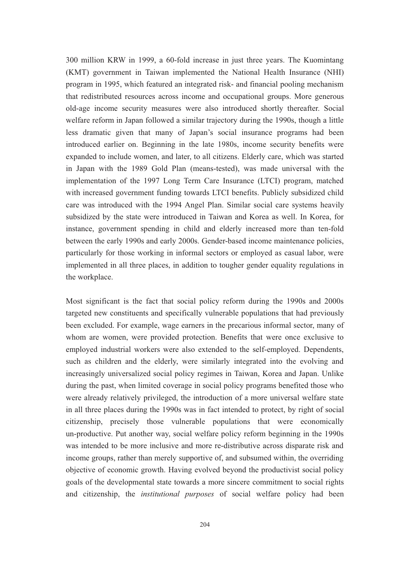300 million KRW in 1999, a 60-fold increase in just three years. The Kuomintang (KMT) government in Taiwan implemented the National Health Insurance (NHI) program in 1995, which featured an integrated risk- and financial pooling mechanism that redistributed resources across income and occupational groups. More generous old-age income security measures were also introduced shortly thereafter. Social welfare reform in Japan followed a similar trajectory during the 1990s, though a little less dramatic given that many of Japan's social insurance programs had been introduced earlier on. Beginning in the late 1980s, income security benefits were expanded to include women, and later, to all citizens. Elderly care, which was started in Japan with the 1989 Gold Plan (means-tested), was made universal with the implementation of the 1997 Long Term Care Insurance (LTCI) program, matched with increased government funding towards LTCI benefits. Publicly subsidized child care was introduced with the 1994 Angel Plan. Similar social care systems heavily subsidized by the state were introduced in Taiwan and Korea as well. In Korea, for instance, government spending in child and elderly increased more than ten-fold between the early 1990s and early 2000s. Gender-based income maintenance policies, particularly for those working in informal sectors or employed as casual labor, were implemented in all three places, in addition to tougher gender equality regulations in the workplace.

Most significant is the fact that social policy reform during the 1990s and 2000s targeted new constituents and specifically vulnerable populations that had previously been excluded. For example, wage earners in the precarious informal sector, many of whom are women, were provided protection. Benefits that were once exclusive to employed industrial workers were also extended to the self-employed. Dependents, such as children and the elderly, were similarly integrated into the evolving and increasingly universalized social policy regimes in Taiwan, Korea and Japan. Unlike during the past, when limited coverage in social policy programs benefited those who were already relatively privileged, the introduction of a more universal welfare state in all three places during the 1990s was in fact intended to protect, by right of social citizenship, precisely those vulnerable populations that were economically un-productive. Put another way, social welfare policy reform beginning in the 1990s was intended to be more inclusive and more re-distributive across disparate risk and income groups, rather than merely supportive of, and subsumed within, the overriding objective of economic growth. Having evolved beyond the productivist social policy goals of the developmental state towards a more sincere commitment to social rights and citizenship, the *institutional purposes* of social welfare policy had been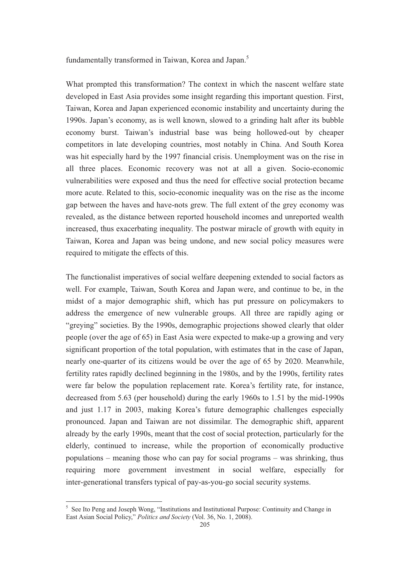fundamentally transformed in Taiwan, Korea and Japan.<sup>5</sup>

What prompted this transformation? The context in which the nascent welfare state developed in East Asia provides some insight regarding this important question. First, Taiwan, Korea and Japan experienced economic instability and uncertainty during the 1990s. Japan's economy, as is well known, slowed to a grinding halt after its bubble economy burst. Taiwan's industrial base was being hollowed-out by cheaper competitors in late developing countries, most notably in China. And South Korea was hit especially hard by the 1997 financial crisis. Unemployment was on the rise in all three places. Economic recovery was not at all a given. Socio-economic vulnerabilities were exposed and thus the need for effective social protection became more acute. Related to this, socio-economic inequality was on the rise as the income gap between the haves and have-nots grew. The full extent of the grey economy was revealed, as the distance between reported household incomes and unreported wealth increased, thus exacerbating inequality. The postwar miracle of growth with equity in Taiwan, Korea and Japan was being undone, and new social policy measures were required to mitigate the effects of this.

The functionalist imperatives of social welfare deepening extended to social factors as well. For example, Taiwan, South Korea and Japan were, and continue to be, in the midst of a major demographic shift, which has put pressure on policymakers to address the emergence of new vulnerable groups. All three are rapidly aging or "greying" societies. By the 1990s, demographic projections showed clearly that older people (over the age of 65) in East Asia were expected to make-up a growing and very significant proportion of the total population, with estimates that in the case of Japan, nearly one-quarter of its citizens would be over the age of 65 by 2020. Meanwhile, fertility rates rapidly declined beginning in the 1980s, and by the 1990s, fertility rates were far below the population replacement rate. Korea's fertility rate, for instance, decreased from 5.63 (per household) during the early 1960s to 1.51 by the mid-1990s and just 1.17 in 2003, making Korea's future demographic challenges especially pronounced. Japan and Taiwan are not dissimilar. The demographic shift, apparent already by the early 1990s, meant that the cost of social protection, particularly for the elderly, continued to increase, while the proportion of economically productive populations – meaning those who can pay for social programs – was shrinking, thus requiring more government investment in social welfare, especially for inter-generational transfers typical of pay-as-you-go social security systems.

<sup>&</sup>lt;sup>5</sup> See Ito Peng and Joseph Wong, "Institutions and Institutional Purpose: Continuity and Change in East Asian Social Policy," *Politics and Society* (Vol. 36, No. 1, 2008).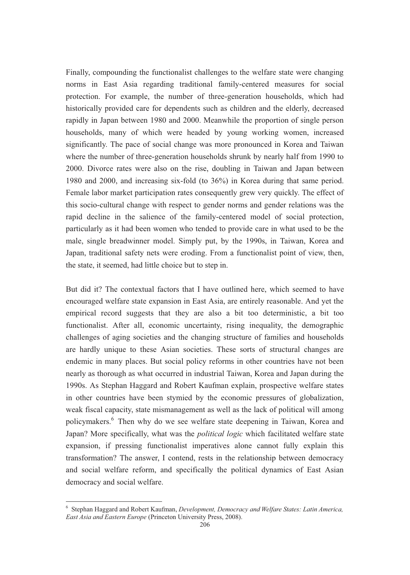Finally, compounding the functionalist challenges to the welfare state were changing norms in East Asia regarding traditional family-centered measures for social protection. For example, the number of three-generation households, which had historically provided care for dependents such as children and the elderly, decreased rapidly in Japan between 1980 and 2000. Meanwhile the proportion of single person households, many of which were headed by young working women, increased significantly. The pace of social change was more pronounced in Korea and Taiwan where the number of three-generation households shrunk by nearly half from 1990 to 2000. Divorce rates were also on the rise, doubling in Taiwan and Japan between 1980 and 2000, and increasing six-fold (to 36%) in Korea during that same period. Female labor market participation rates consequently grew very quickly. The effect of this socio-cultural change with respect to gender norms and gender relations was the rapid decline in the salience of the family-centered model of social protection, particularly as it had been women who tended to provide care in what used to be the male, single breadwinner model. Simply put, by the 1990s, in Taiwan, Korea and Japan, traditional safety nets were eroding. From a functionalist point of view, then, the state, it seemed, had little choice but to step in.

But did it? The contextual factors that I have outlined here, which seemed to have encouraged welfare state expansion in East Asia, are entirely reasonable. And yet the empirical record suggests that they are also a bit too deterministic, a bit too functionalist. After all, economic uncertainty, rising inequality, the demographic challenges of aging societies and the changing structure of families and households are hardly unique to these Asian societies. These sorts of structural changes are endemic in many places. But social policy reforms in other countries have not been nearly as thorough as what occurred in industrial Taiwan, Korea and Japan during the 1990s. As Stephan Haggard and Robert Kaufman explain, prospective welfare states in other countries have been stymied by the economic pressures of globalization, weak fiscal capacity, state mismanagement as well as the lack of political will among policymakers.<sup>6</sup> Then why do we see welfare state deepening in Taiwan, Korea and Japan? More specifically, what was the *political logic* which facilitated welfare state expansion, if pressing functionalist imperatives alone cannot fully explain this transformation? The answer, I contend, rests in the relationship between democracy and social welfare reform, and specifically the political dynamics of East Asian democracy and social welfare.

<sup>6</sup> Stephan Haggard and Robert Kaufman, *Development, Democracy and Welfare States: Latin America, East Asia and Eastern Europe* (Princeton University Press, 2008).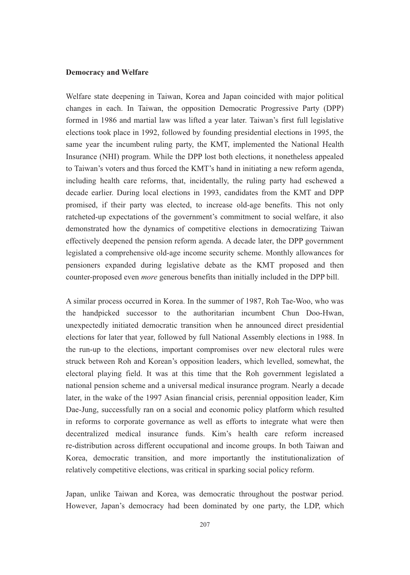#### **Democracy and Welfare**

Welfare state deepening in Taiwan, Korea and Japan coincided with major political changes in each. In Taiwan, the opposition Democratic Progressive Party (DPP) formed in 1986 and martial law was lifted a year later. Taiwan's first full legislative elections took place in 1992, followed by founding presidential elections in 1995, the same year the incumbent ruling party, the KMT, implemented the National Health Insurance (NHI) program. While the DPP lost both elections, it nonetheless appealed to Taiwan's voters and thus forced the KMT's hand in initiating a new reform agenda, including health care reforms, that, incidentally, the ruling party had eschewed a decade earlier. During local elections in 1993, candidates from the KMT and DPP promised, if their party was elected, to increase old-age benefits. This not only ratcheted-up expectations of the government's commitment to social welfare, it also demonstrated how the dynamics of competitive elections in democratizing Taiwan effectively deepened the pension reform agenda. A decade later, the DPP government legislated a comprehensive old-age income security scheme. Monthly allowances for pensioners expanded during legislative debate as the KMT proposed and then counter-proposed even *more* generous benefits than initially included in the DPP bill.

A similar process occurred in Korea. In the summer of 1987, Roh Tae-Woo, who was the handpicked successor to the authoritarian incumbent Chun Doo-Hwan, unexpectedly initiated democratic transition when he announced direct presidential elections for later that year, followed by full National Assembly elections in 1988. In the run-up to the elections, important compromises over new electoral rules were struck between Roh and Korean's opposition leaders, which levelled, somewhat, the electoral playing field. It was at this time that the Roh government legislated a national pension scheme and a universal medical insurance program. Nearly a decade later, in the wake of the 1997 Asian financial crisis, perennial opposition leader, Kim Dae-Jung, successfully ran on a social and economic policy platform which resulted in reforms to corporate governance as well as efforts to integrate what were then decentralized medical insurance funds. Kim's health care reform increased re-distribution across different occupational and income groups. In both Taiwan and Korea, democratic transition, and more importantly the institutionalization of relatively competitive elections, was critical in sparking social policy reform.

Japan, unlike Taiwan and Korea, was democratic throughout the postwar period. However, Japan's democracy had been dominated by one party, the LDP, which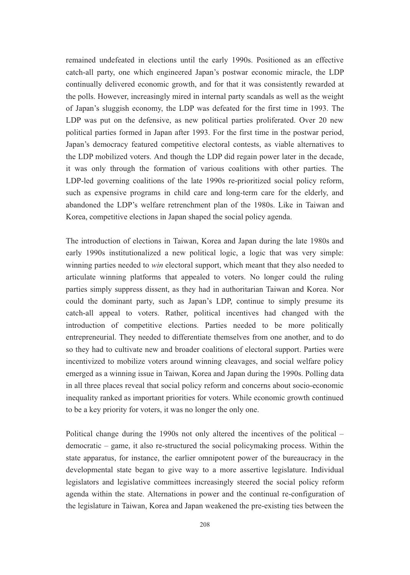remained undefeated in elections until the early 1990s. Positioned as an effective catch-all party, one which engineered Japan's postwar economic miracle, the LDP continually delivered economic growth, and for that it was consistently rewarded at the polls. However, increasingly mired in internal party scandals as well as the weight of Japan's sluggish economy, the LDP was defeated for the first time in 1993. The LDP was put on the defensive, as new political parties proliferated. Over 20 new political parties formed in Japan after 1993. For the first time in the postwar period, Japan's democracy featured competitive electoral contests, as viable alternatives to the LDP mobilized voters. And though the LDP did regain power later in the decade, it was only through the formation of various coalitions with other parties. The LDP-led governing coalitions of the late 1990s re-prioritized social policy reform, such as expensive programs in child care and long-term care for the elderly, and abandoned the LDP's welfare retrenchment plan of the 1980s. Like in Taiwan and Korea, competitive elections in Japan shaped the social policy agenda.

The introduction of elections in Taiwan, Korea and Japan during the late 1980s and early 1990s institutionalized a new political logic, a logic that was very simple: winning parties needed to *win* electoral support, which meant that they also needed to articulate winning platforms that appealed to voters. No longer could the ruling parties simply suppress dissent, as they had in authoritarian Taiwan and Korea. Nor could the dominant party, such as Japan's LDP, continue to simply presume its catch-all appeal to voters. Rather, political incentives had changed with the introduction of competitive elections. Parties needed to be more politically entrepreneurial. They needed to differentiate themselves from one another, and to do so they had to cultivate new and broader coalitions of electoral support. Parties were incentivized to mobilize voters around winning cleavages, and social welfare policy emerged as a winning issue in Taiwan, Korea and Japan during the 1990s. Polling data in all three places reveal that social policy reform and concerns about socio-economic inequality ranked as important priorities for voters. While economic growth continued to be a key priority for voters, it was no longer the only one.

Political change during the 1990s not only altered the incentives of the political – democratic – game, it also re-structured the social policymaking process. Within the state apparatus, for instance, the earlier omnipotent power of the bureaucracy in the developmental state began to give way to a more assertive legislature. Individual legislators and legislative committees increasingly steered the social policy reform agenda within the state. Alternations in power and the continual re-configuration of the legislature in Taiwan, Korea and Japan weakened the pre-existing ties between the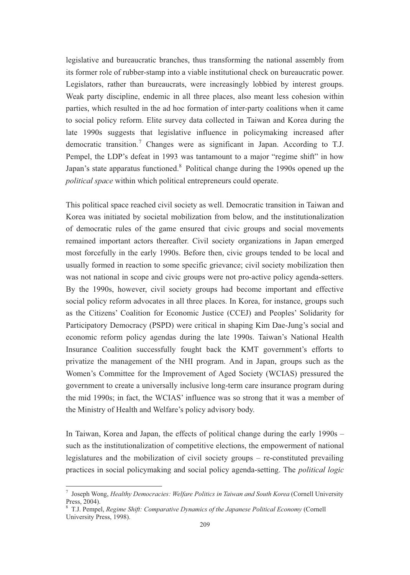legislative and bureaucratic branches, thus transforming the national assembly from its former role of rubber-stamp into a viable institutional check on bureaucratic power. Legislators, rather than bureaucrats, were increasingly lobbied by interest groups. Weak party discipline, endemic in all three places, also meant less cohesion within parties, which resulted in the ad hoc formation of inter-party coalitions when it came to social policy reform. Elite survey data collected in Taiwan and Korea during the late 1990s suggests that legislative influence in policymaking increased after democratic transition.<sup>7</sup> Changes were as significant in Japan. According to T.J. Pempel, the LDP's defeat in 1993 was tantamount to a major "regime shift" in how Japan's state apparatus functioned.<sup>8</sup> Political change during the 1990s opened up the *political space* within which political entrepreneurs could operate.

This political space reached civil society as well. Democratic transition in Taiwan and Korea was initiated by societal mobilization from below, and the institutionalization of democratic rules of the game ensured that civic groups and social movements remained important actors thereafter. Civil society organizations in Japan emerged most forcefully in the early 1990s. Before then, civic groups tended to be local and usually formed in reaction to some specific grievance; civil society mobilization then was not national in scope and civic groups were not pro-active policy agenda-setters. By the 1990s, however, civil society groups had become important and effective social policy reform advocates in all three places. In Korea, for instance, groups such as the Citizens' Coalition for Economic Justice (CCEJ) and Peoples' Solidarity for Participatory Democracy (PSPD) were critical in shaping Kim Dae-Jung's social and economic reform policy agendas during the late 1990s. Taiwan's National Health Insurance Coalition successfully fought back the KMT government's efforts to privatize the management of the NHI program. And in Japan, groups such as the Women's Committee for the Improvement of Aged Society (WCIAS) pressured the government to create a universally inclusive long-term care insurance program during the mid 1990s; in fact, the WCIAS' influence was so strong that it was a member of the Ministry of Health and Welfare's policy advisory body.

In Taiwan, Korea and Japan, the effects of political change during the early 1990s – such as the institutionalization of competitive elections, the empowerment of national legislatures and the mobilization of civil society groups – re-constituted prevailing practices in social policymaking and social policy agenda-setting. The *political logic*

<sup>7</sup> Joseph Wong, *Healthy Democracies: Welfare Politics in Taiwan and South Korea* (Cornell University Press, 2004).

<sup>8</sup> T.J. Pempel, *Regime Shift: Comparative Dynamics of the Japanese Political Economy* (Cornell University Press, 1998).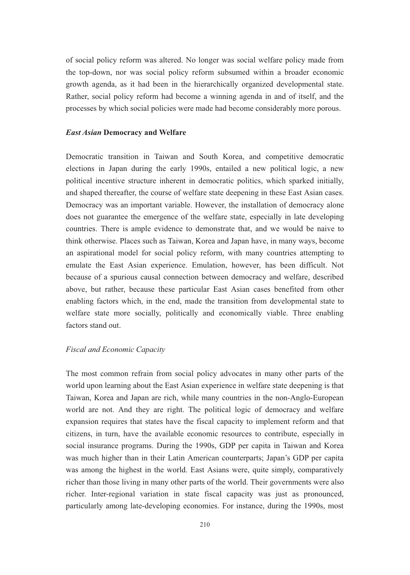of social policy reform was altered. No longer was social welfare policy made from the top-down, nor was social policy reform subsumed within a broader economic growth agenda, as it had been in the hierarchically organized developmental state. Rather, social policy reform had become a winning agenda in and of itself, and the processes by which social policies were made had become considerably more porous.

#### *East Asian* **Democracy and Welfare**

Democratic transition in Taiwan and South Korea, and competitive democratic elections in Japan during the early 1990s, entailed a new political logic, a new political incentive structure inherent in democratic politics, which sparked initially, and shaped thereafter, the course of welfare state deepening in these East Asian cases. Democracy was an important variable. However, the installation of democracy alone does not guarantee the emergence of the welfare state, especially in late developing countries. There is ample evidence to demonstrate that, and we would be naive to think otherwise. Places such as Taiwan, Korea and Japan have, in many ways, become an aspirational model for social policy reform, with many countries attempting to emulate the East Asian experience. Emulation, however, has been difficult. Not because of a spurious causal connection between democracy and welfare, described above, but rather, because these particular East Asian cases benefited from other enabling factors which, in the end, made the transition from developmental state to welfare state more socially, politically and economically viable. Three enabling factors stand out.

### *Fiscal and Economic Capacity*

The most common refrain from social policy advocates in many other parts of the world upon learning about the East Asian experience in welfare state deepening is that Taiwan, Korea and Japan are rich, while many countries in the non-Anglo-European world are not. And they are right. The political logic of democracy and welfare expansion requires that states have the fiscal capacity to implement reform and that citizens, in turn, have the available economic resources to contribute, especially in social insurance programs. During the 1990s, GDP per capita in Taiwan and Korea was much higher than in their Latin American counterparts; Japan's GDP per capita was among the highest in the world. East Asians were, quite simply, comparatively richer than those living in many other parts of the world. Their governments were also richer. Inter-regional variation in state fiscal capacity was just as pronounced, particularly among late-developing economies. For instance, during the 1990s, most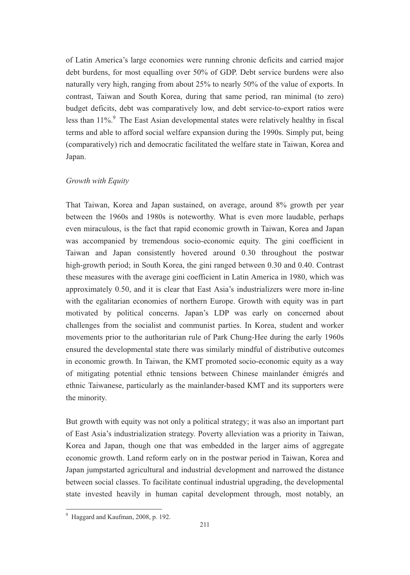of Latin America's large economies were running chronic deficits and carried major debt burdens, for most equalling over 50% of GDP. Debt service burdens were also naturally very high, ranging from about 25% to nearly 50% of the value of exports. In contrast, Taiwan and South Korea, during that same period, ran minimal (to zero) budget deficits, debt was comparatively low, and debt service-to-export ratios were less than 11%.<sup>9</sup> The East Asian developmental states were relatively healthy in fiscal terms and able to afford social welfare expansion during the 1990s. Simply put, being (comparatively) rich and democratic facilitated the welfare state in Taiwan, Korea and Japan.

#### *Growth with Equity*

That Taiwan, Korea and Japan sustained, on average, around 8% growth per year between the 1960s and 1980s is noteworthy. What is even more laudable, perhaps even miraculous, is the fact that rapid economic growth in Taiwan, Korea and Japan was accompanied by tremendous socio-economic equity. The gini coefficient in Taiwan and Japan consistently hovered around 0.30 throughout the postwar high-growth period; in South Korea, the gini ranged between 0.30 and 0.40. Contrast these measures with the average gini coefficient in Latin America in 1980, which was approximately 0.50, and it is clear that East Asia's industrializers were more in-line with the egalitarian economies of northern Europe. Growth with equity was in part motivated by political concerns. Japan's LDP was early on concerned about challenges from the socialist and communist parties. In Korea, student and worker movements prior to the authoritarian rule of Park Chung-Hee during the early 1960s ensured the developmental state there was similarly mindful of distributive outcomes in economic growth. In Taiwan, the KMT promoted socio-economic equity as a way of mitigating potential ethnic tensions between Chinese mainlander émigrés and ethnic Taiwanese, particularly as the mainlander-based KMT and its supporters were the minority.

But growth with equity was not only a political strategy; it was also an important part of East Asia's industrialization strategy. Poverty alleviation was a priority in Taiwan, Korea and Japan, though one that was embedded in the larger aims of aggregate economic growth. Land reform early on in the postwar period in Taiwan, Korea and Japan jumpstarted agricultural and industrial development and narrowed the distance between social classes. To facilitate continual industrial upgrading, the developmental state invested heavily in human capital development through, most notably, an

<sup>&</sup>lt;sup>9</sup> Haggard and Kaufman, 2008, p. 192.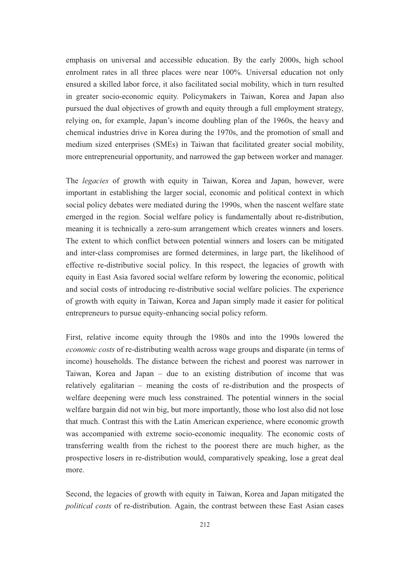emphasis on universal and accessible education. By the early 2000s, high school enrolment rates in all three places were near 100%. Universal education not only ensured a skilled labor force, it also facilitated social mobility, which in turn resulted in greater socio-economic equity. Policymakers in Taiwan, Korea and Japan also pursued the dual objectives of growth and equity through a full employment strategy, relying on, for example, Japan's income doubling plan of the 1960s, the heavy and chemical industries drive in Korea during the 1970s, and the promotion of small and medium sized enterprises (SMEs) in Taiwan that facilitated greater social mobility, more entrepreneurial opportunity, and narrowed the gap between worker and manager.

The *legacies* of growth with equity in Taiwan, Korea and Japan, however, were important in establishing the larger social, economic and political context in which social policy debates were mediated during the 1990s, when the nascent welfare state emerged in the region. Social welfare policy is fundamentally about re-distribution, meaning it is technically a zero-sum arrangement which creates winners and losers. The extent to which conflict between potential winners and losers can be mitigated and inter-class compromises are formed determines, in large part, the likelihood of effective re-distributive social policy. In this respect, the legacies of growth with equity in East Asia favored social welfare reform by lowering the economic, political and social costs of introducing re-distributive social welfare policies. The experience of growth with equity in Taiwan, Korea and Japan simply made it easier for political entrepreneurs to pursue equity-enhancing social policy reform.

First, relative income equity through the 1980s and into the 1990s lowered the *economic costs* of re-distributing wealth across wage groups and disparate (in terms of income) households. The distance between the richest and poorest was narrower in Taiwan, Korea and Japan – due to an existing distribution of income that was relatively egalitarian – meaning the costs of re-distribution and the prospects of welfare deepening were much less constrained. The potential winners in the social welfare bargain did not win big, but more importantly, those who lost also did not lose that much. Contrast this with the Latin American experience, where economic growth was accompanied with extreme socio-economic inequality. The economic costs of transferring wealth from the richest to the poorest there are much higher, as the prospective losers in re-distribution would, comparatively speaking, lose a great deal more.

Second, the legacies of growth with equity in Taiwan, Korea and Japan mitigated the *political costs* of re-distribution. Again, the contrast between these East Asian cases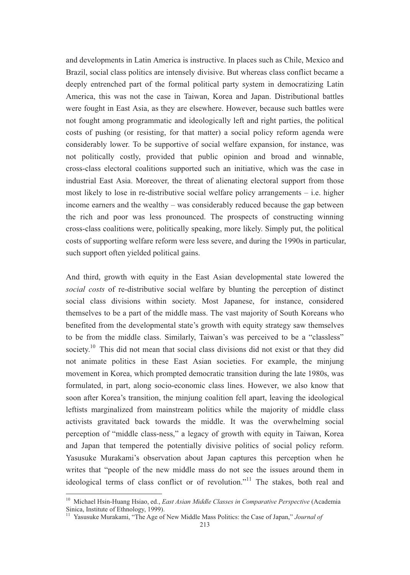and developments in Latin America is instructive. In places such as Chile, Mexico and Brazil, social class politics are intensely divisive. But whereas class conflict became a deeply entrenched part of the formal political party system in democratizing Latin America, this was not the case in Taiwan, Korea and Japan. Distributional battles were fought in East Asia, as they are elsewhere. However, because such battles were not fought among programmatic and ideologically left and right parties, the political costs of pushing (or resisting, for that matter) a social policy reform agenda were considerably lower. To be supportive of social welfare expansion, for instance, was not politically costly, provided that public opinion and broad and winnable, cross-class electoral coalitions supported such an initiative, which was the case in industrial East Asia. Moreover, the threat of alienating electoral support from those most likely to lose in re-distributive social welfare policy arrangements – i.e. higher income earners and the wealthy – was considerably reduced because the gap between the rich and poor was less pronounced. The prospects of constructing winning cross-class coalitions were, politically speaking, more likely. Simply put, the political costs of supporting welfare reform were less severe, and during the 1990s in particular, such support often yielded political gains.

And third, growth with equity in the East Asian developmental state lowered the *social costs* of re-distributive social welfare by blunting the perception of distinct social class divisions within society. Most Japanese, for instance, considered themselves to be a part of the middle mass. The vast majority of South Koreans who benefited from the developmental state's growth with equity strategy saw themselves to be from the middle class. Similarly, Taiwan's was perceived to be a "classless" society.<sup>10</sup> This did not mean that social class divisions did not exist or that they did not animate politics in these East Asian societies. For example, the minjung movement in Korea, which prompted democratic transition during the late 1980s, was formulated, in part, along socio-economic class lines. However, we also know that soon after Korea's transition, the minjung coalition fell apart, leaving the ideological leftists marginalized from mainstream politics while the majority of middle class activists gravitated back towards the middle. It was the overwhelming social perception of "middle class-ness," a legacy of growth with equity in Taiwan, Korea and Japan that tempered the potentially divisive politics of social policy reform. Yasusuke Murakami's observation about Japan captures this perception when he writes that "people of the new middle mass do not see the issues around them in ideological terms of class conflict or of revolution."<sup>11</sup> The stakes, both real and

<sup>10</sup> Michael Hsin-Huang Hsiao, ed., *East Asian Middle Classes in Comparative Perspective* (Academia Sinica, Institute of Ethnology, 1999).

<sup>&</sup>lt;sup>11</sup> Yasusuke Murakami, "The Age of New Middle Mass Politics: the Case of Japan," *Journal of*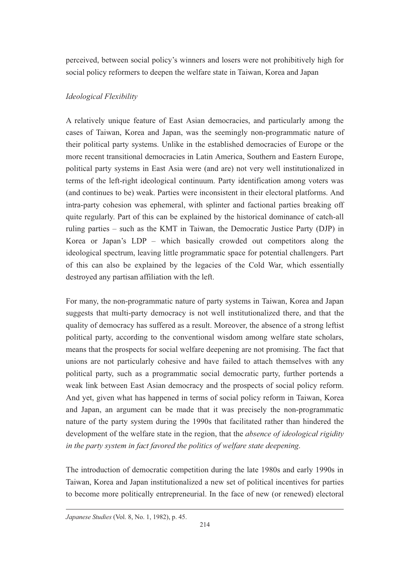perceived, between social policy's winners and losers were not prohibitively high for social policy reformers to deepen the welfare state in Taiwan, Korea and Japan

## *Ideological Flexibility*

A relatively unique feature of East Asian democracies, and particularly among the cases of Taiwan, Korea and Japan, was the seemingly non-programmatic nature of their political party systems. Unlike in the established democracies of Europe or the more recent transitional democracies in Latin America, Southern and Eastern Europe, political party systems in East Asia were (and are) not very well institutionalized in terms of the left-right ideological continuum. Party identification among voters was (and continues to be) weak. Parties were inconsistent in their electoral platforms. And intra-party cohesion was ephemeral, with splinter and factional parties breaking off quite regularly. Part of this can be explained by the historical dominance of catch-all ruling parties – such as the KMT in Taiwan, the Democratic Justice Party (DJP) in Korea or Japan's LDP – which basically crowded out competitors along the ideological spectrum, leaving little programmatic space for potential challengers. Part of this can also be explained by the legacies of the Cold War, which essentially destroyed any partisan affiliation with the left.

For many, the non-programmatic nature of party systems in Taiwan, Korea and Japan suggests that multi-party democracy is not well institutionalized there, and that the quality of democracy has suffered as a result. Moreover, the absence of a strong leftist political party, according to the conventional wisdom among welfare state scholars, means that the prospects for social welfare deepening are not promising. The fact that unions are not particularly cohesive and have failed to attach themselves with any political party, such as a programmatic social democratic party, further portends a weak link between East Asian democracy and the prospects of social policy reform. And yet, given what has happened in terms of social policy reform in Taiwan, Korea and Japan, an argument can be made that it was precisely the non-programmatic nature of the party system during the 1990s that facilitated rather than hindered the development of the welfare state in the region, that the *absence of ideological rigidity in the party system in fact favored the politics of welfare state deepening*.

The introduction of democratic competition during the late 1980s and early 1990s in Taiwan, Korea and Japan institutionalized a new set of political incentives for parties to become more politically entrepreneurial. In the face of new (or renewed) electoral

 $\overline{a}$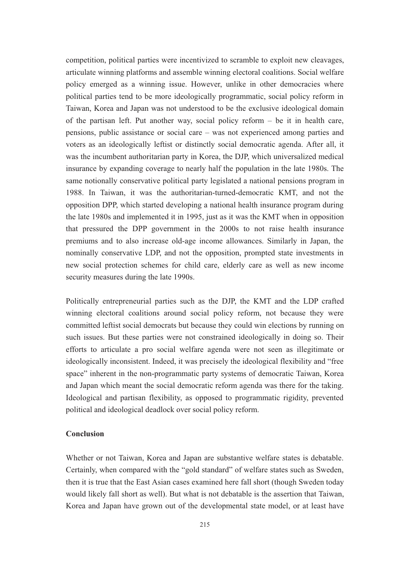competition, political parties were incentivized to scramble to exploit new cleavages, articulate winning platforms and assemble winning electoral coalitions. Social welfare policy emerged as a winning issue. However, unlike in other democracies where political parties tend to be more ideologically programmatic, social policy reform in Taiwan, Korea and Japan was not understood to be the exclusive ideological domain of the partisan left. Put another way, social policy reform – be it in health care, pensions, public assistance or social care – was not experienced among parties and voters as an ideologically leftist or distinctly social democratic agenda. After all, it was the incumbent authoritarian party in Korea, the DJP, which universalized medical insurance by expanding coverage to nearly half the population in the late 1980s. The same notionally conservative political party legislated a national pensions program in 1988. In Taiwan, it was the authoritarian-turned-democratic KMT, and not the opposition DPP, which started developing a national health insurance program during the late 1980s and implemented it in 1995, just as it was the KMT when in opposition that pressured the DPP government in the 2000s to not raise health insurance premiums and to also increase old-age income allowances. Similarly in Japan, the nominally conservative LDP, and not the opposition, prompted state investments in new social protection schemes for child care, elderly care as well as new income security measures during the late 1990s.

Politically entrepreneurial parties such as the DJP, the KMT and the LDP crafted winning electoral coalitions around social policy reform, not because they were committed leftist social democrats but because they could win elections by running on such issues. But these parties were not constrained ideologically in doing so. Their efforts to articulate a pro social welfare agenda were not seen as illegitimate or ideologically inconsistent. Indeed, it was precisely the ideological flexibility and "free space" inherent in the non-programmatic party systems of democratic Taiwan, Korea and Japan which meant the social democratic reform agenda was there for the taking. Ideological and partisan flexibility, as opposed to programmatic rigidity, prevented political and ideological deadlock over social policy reform.

## **Conclusion**

Whether or not Taiwan, Korea and Japan are substantive welfare states is debatable. Certainly, when compared with the "gold standard" of welfare states such as Sweden, then it is true that the East Asian cases examined here fall short (though Sweden today would likely fall short as well). But what is not debatable is the assertion that Taiwan, Korea and Japan have grown out of the developmental state model, or at least have